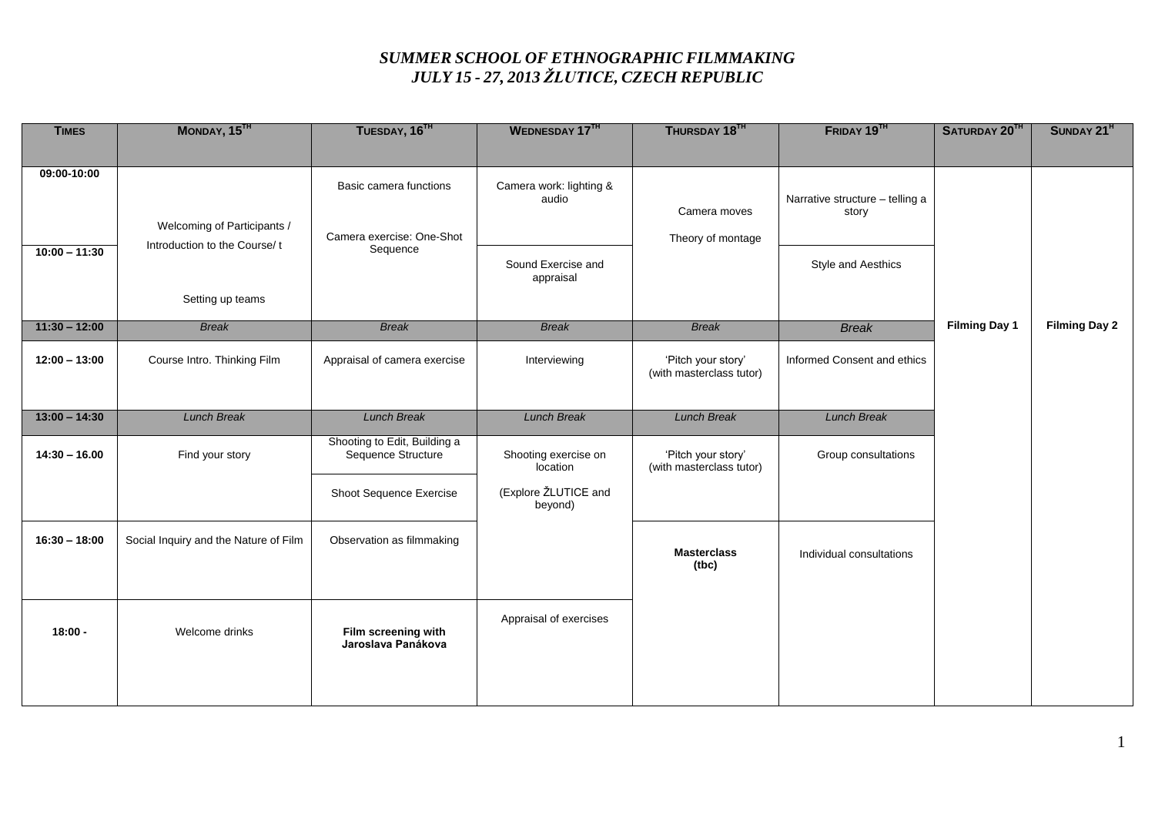## *SUMMER SCHOOL OF ETHNOGRAPHIC FILMMAKING JULY 15 - 27, 2013 ŽLUTICE, CZECH REPUBLIC*

| <b>TIMES</b>    | MONDAY, 15TH                          | TUESDAY, 16TH                             | WEDNESDAY 17TH                   | THURSDAY 18TH                                  | FRIDAY 19TH                              | SATURDAY 20TH        | SUNDAY 21 <sup>H</sup> |
|-----------------|---------------------------------------|-------------------------------------------|----------------------------------|------------------------------------------------|------------------------------------------|----------------------|------------------------|
|                 |                                       |                                           |                                  |                                                |                                          |                      |                        |
| 09:00-10:00     |                                       |                                           |                                  |                                                |                                          |                      |                        |
|                 |                                       | Basic camera functions                    | Camera work: lighting &          |                                                |                                          |                      |                        |
|                 |                                       |                                           | audio                            | Camera moves                                   | Narrative structure - telling a<br>story |                      |                        |
|                 | Welcoming of Participants /           | Camera exercise: One-Shot<br>Sequence     |                                  |                                                |                                          |                      |                        |
| $10:00 - 11:30$ | Introduction to the Course/t          |                                           |                                  | Theory of montage                              |                                          |                      |                        |
|                 |                                       |                                           | Sound Exercise and               |                                                | <b>Style and Aesthics</b>                |                      |                        |
|                 |                                       |                                           | appraisal                        |                                                |                                          |                      |                        |
|                 | Setting up teams                      |                                           |                                  |                                                |                                          |                      |                        |
| $11:30 - 12:00$ | <b>Break</b>                          | <b>Break</b>                              | <b>Break</b>                     | <b>Break</b>                                   | <b>Break</b>                             | <b>Filming Day 1</b> | <b>Filming Day 2</b>   |
|                 |                                       |                                           |                                  |                                                |                                          |                      |                        |
| $12:00 - 13:00$ | Course Intro. Thinking Film           | Appraisal of camera exercise              | Interviewing                     | 'Pitch your story'<br>(with masterclass tutor) | Informed Consent and ethics              |                      |                        |
|                 |                                       |                                           |                                  |                                                |                                          |                      |                        |
|                 |                                       |                                           |                                  |                                                |                                          |                      |                        |
| $13:00 - 14:30$ | <b>Lunch Break</b>                    | <b>Lunch Break</b>                        | <b>Lunch Break</b>               | <b>Lunch Break</b>                             | <b>Lunch Break</b>                       |                      |                        |
|                 |                                       | Shooting to Edit, Building a              |                                  |                                                |                                          |                      |                        |
| $14:30 - 16.00$ | Find your story                       | Sequence Structure                        | Shooting exercise on<br>location | 'Pitch your story'<br>(with masterclass tutor) | Group consultations                      |                      |                        |
|                 |                                       |                                           |                                  |                                                |                                          |                      |                        |
|                 |                                       | Shoot Sequence Exercise                   | (Explore ŽLUTICE and<br>beyond)  |                                                |                                          |                      |                        |
|                 |                                       |                                           |                                  |                                                |                                          |                      |                        |
| $16:30 - 18:00$ | Social Inquiry and the Nature of Film | Observation as filmmaking                 |                                  |                                                |                                          |                      |                        |
|                 |                                       |                                           |                                  | <b>Masterclass</b><br>(tbc)                    | Individual consultations                 |                      |                        |
|                 |                                       |                                           |                                  |                                                |                                          |                      |                        |
|                 |                                       |                                           |                                  |                                                |                                          |                      |                        |
|                 |                                       |                                           | Appraisal of exercises           |                                                |                                          |                      |                        |
| $18:00 -$       | Welcome drinks                        | Film screening with<br>Jaroslava Panákova |                                  |                                                |                                          |                      |                        |
|                 |                                       |                                           |                                  |                                                |                                          |                      |                        |
|                 |                                       |                                           |                                  |                                                |                                          |                      |                        |
|                 |                                       |                                           |                                  |                                                |                                          |                      |                        |